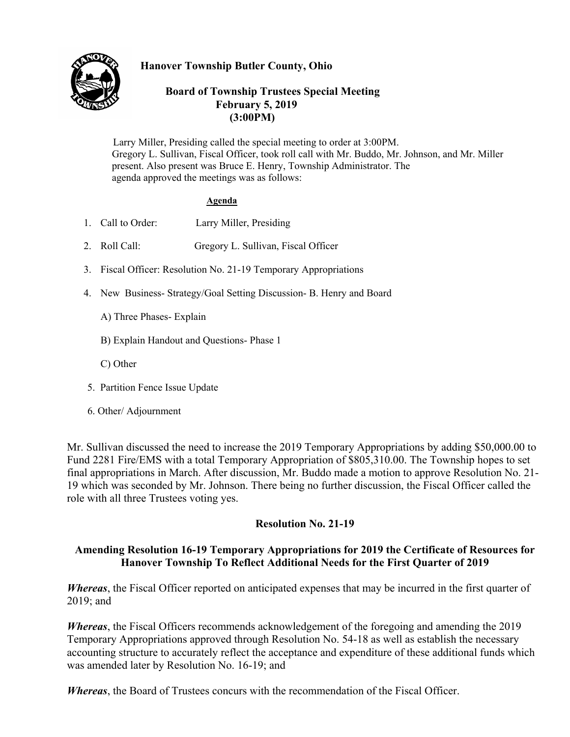

# **Hanover Township Butler County, Ohio**

### **Board of Township Trustees Special Meeting February 5, 2019 (3:00PM)**

 Larry Miller, Presiding called the special meeting to order at 3:00PM. Gregory L. Sullivan, Fiscal Officer, took roll call with Mr. Buddo, Mr. Johnson, and Mr. Miller present. Also present was Bruce E. Henry, Township Administrator. The agenda approved the meetings was as follows:

#### **Agenda**

- 1. Call to Order: Larry Miller, Presiding
- 2. Roll Call: Gregory L. Sullivan, Fiscal Officer
- 3. Fiscal Officer: Resolution No. 21-19 Temporary Appropriations
- 4. New Business- Strategy/Goal Setting Discussion- B. Henry and Board
	- A) Three Phases- Explain
	- B) Explain Handout and Questions- Phase 1
	- C) Other
- 5. Partition Fence Issue Update
- 6. Other/ Adjournment

Mr. Sullivan discussed the need to increase the 2019 Temporary Appropriations by adding \$50,000.00 to Fund 2281 Fire/EMS with a total Temporary Appropriation of \$805,310.00. The Township hopes to set final appropriations in March. After discussion, Mr. Buddo made a motion to approve Resolution No. 21- 19 which was seconded by Mr. Johnson. There being no further discussion, the Fiscal Officer called the role with all three Trustees voting yes.

# **Resolution No. 21-19**

# **Amending Resolution 16-19 Temporary Appropriations for 2019 the Certificate of Resources for Hanover Township To Reflect Additional Needs for the First Quarter of 2019**

*Whereas*, the Fiscal Officer reported on anticipated expenses that may be incurred in the first quarter of 2019; and

*Whereas*, the Fiscal Officers recommends acknowledgement of the foregoing and amending the 2019 Temporary Appropriations approved through Resolution No. 54-18 as well as establish the necessary accounting structure to accurately reflect the acceptance and expenditure of these additional funds which was amended later by Resolution No. 16-19; and

*Whereas*, the Board of Trustees concurs with the recommendation of the Fiscal Officer.